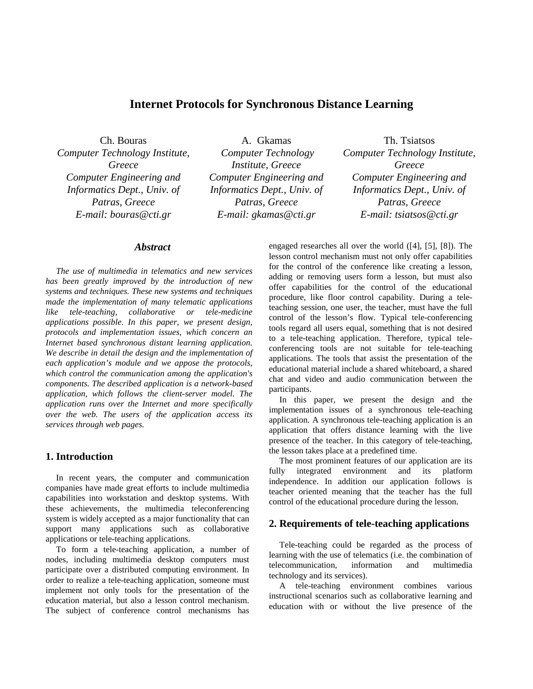# **Internet Protocols for Synchronous Distance Learning**

Ch. Bouras

*Computer Technology Institute, Greece Computer Engineering and Informatics Dept., Univ. of Patras, Greece E-mail: bouras@cti.gr*

A. Gkamas *Computer Technology Institute, Greece Computer Engineering and Informatics Dept., Univ. of Patras, Greece E-mail: gkamas@cti.gr*

Th. Tsiatsos *Computer Technology Institute, Greece Computer Engineering and Informatics Dept., Univ. of Patras, Greece E-mail: tsiatsos@cti.gr*

## *Abstract*

*The use of multimedia in telematics and new services has been greatly improved by the introduction of new systems and techniques. These new systems and techniques made the implementation of many telematic applications like tele-teaching, collaborative or tele-medicine applications possible. In this paper, we present design, protocols and implementation issues, which concern an Internet based synchronous distant learning application. We describe in detail the design and the implementation of each application's module and we appose the protocols, which control the communication among the application's components. The described application is a network-based application, which follows the client-server model. The application runs over the Internet and more specifically over the web. The users of the application access its services through web pages.*

## **1. Introduction**

In recent years, the computer and communication companies have made great efforts to include multimedia capabilities into workstation and desktop systems. With these achievements, the multimedia teleconferencing system is widely accepted as a major functionality that can support many applications such as collaborative applications or tele-teaching applications.

To form a tele-teaching application, a number of nodes, including multimedia desktop computers must participate over a distributed computing environment. In order to realize a tele-teaching application, someone must implement not only tools for the presentation of the education material, but also a lesson control mechanism. The subject of conference control mechanisms has engaged researches all over the world ([4], [5], [8]). The lesson control mechanism must not only offer capabilities for the control of the conference like creating a lesson, adding or removing users form a lesson, but must also offer capabilities for the control of the educational procedure, like floor control capability. During a teleteaching session, one user, the teacher, must have the full control of the lesson's flow. Typical tele-conferencing tools regard all users equal, something that is not desired to a tele-teaching application. Therefore, typical teleconferencing tools are not suitable for tele-teaching applications. The tools that assist the presentation of the educational material include a shared whiteboard, a shared chat and video and audio communication between the participants.

In this paper, we present the design and the implementation issues of a synchronous tele-teaching application. A synchronous tele-teaching application is an application that offers distance learning with the live presence of the teacher. In this category of tele-teaching, the lesson takes place at a predefined time.

The most prominent features of our application are its fully integrated environment and its platform independence. In addition our application follows is teacher oriented meaning that the teacher has the full control of the educational procedure during the lesson.

### **2. Requirements of tele-teaching applications**

Tele-teaching could be regarded as the process of learning with the use of telematics (i.e. the combination of telecommunication, information and multimedia technology and its services).

A tele-teaching environment combines various instructional scenarios such as collaborative learning and education with or without the live presence of the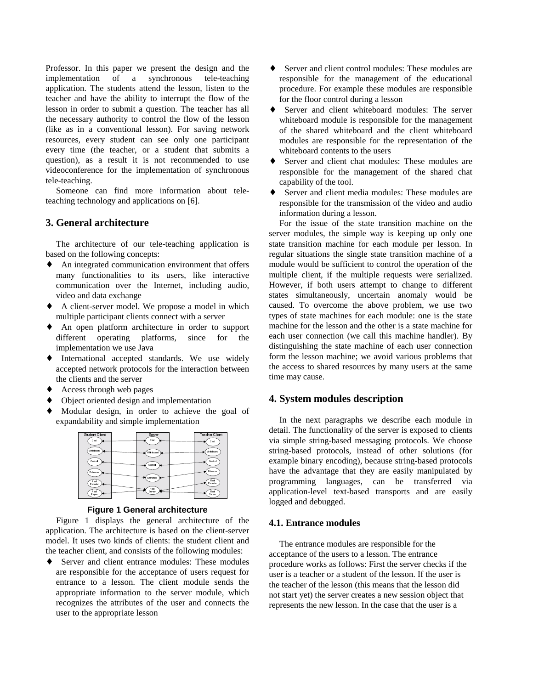Professor. In this paper we present the design and the implementation of a synchronous tele-teaching application. The students attend the lesson, listen to the teacher and have the ability to interrupt the flow of the lesson in order to submit a question. The teacher has all the necessary authority to control the flow of the lesson (like as in a conventional lesson). For saving network resources, every student can see only one participant every time (the teacher, or a student that submits a question), as a result it is not recommended to use videoconference for the implementation of synchronous tele-teaching.

Someone can find more information about teleteaching technology and applications on [6].

## **3. General architecture**

The architecture of our tele-teaching application is based on the following concepts:

- ♦ An integrated communication environment that offers many functionalities to its users, like interactive communication over the Internet, including audio, video and data exchange
- ♦ A client-server model. We propose a model in which multiple participant clients connect with a server
- ♦ An open platform architecture in order to support different operating platforms, since for the implementation we use Java
- International accepted standards. We use widely accepted network protocols for the interaction between the clients and the server
- Access through web pages
- Object oriented design and implementation
- Modular design, in order to achieve the goal of expandability and simple implementation



### **Figure 1 General architecture**

Figure 1 displays the general architecture of the application. The architecture is based on the client-server model. It uses two kinds of clients: the student client and the teacher client, and consists of the following modules:

♦ Server and client entrance modules: These modules are responsible for the acceptance of users request for entrance to a lesson. The client module sends the appropriate information to the server module, which recognizes the attributes of the user and connects the user to the appropriate lesson

- ♦ Server and client control modules: These modules are responsible for the management of the educational procedure. For example these modules are responsible for the floor control during a lesson
- ♦ Server and client whiteboard modules: The server whiteboard module is responsible for the management of the shared whiteboard and the client whiteboard modules are responsible for the representation of the whiteboard contents to the users
- ♦ Server and client chat modules: These modules are responsible for the management of the shared chat capability of the tool.
- Server and client media modules: These modules are responsible for the transmission of the video and audio information during a lesson.

For the issue of the state transition machine on the server modules, the simple way is keeping up only one state transition machine for each module per lesson. In regular situations the single state transition machine of a module would be sufficient to control the operation of the multiple client, if the multiple requests were serialized. However, if both users attempt to change to different states simultaneously, uncertain anomaly would be caused. To overcome the above problem, we use two types of state machines for each module: one is the state machine for the lesson and the other is a state machine for each user connection (we call this machine handler). By distinguishing the state machine of each user connection form the lesson machine; we avoid various problems that the access to shared resources by many users at the same time may cause.

## **4. System modules description**

In the next paragraphs we describe each module in detail. The functionality of the server is exposed to clients via simple string-based messaging protocols. We choose string-based protocols, instead of other solutions (for example binary encoding), because string-based protocols have the advantage that they are easily manipulated by programming languages, can be transferred via application-level text-based transports and are easily logged and debugged.

#### **4.1. Entrance modules**

The entrance modules are responsible for the acceptance of the users to a lesson. The entrance procedure works as follows: First the server checks if the user is a teacher or a student of the lesson. If the user is the teacher of the lesson (this means that the lesson did not start yet) the server creates a new session object that represents the new lesson. In the case that the user is a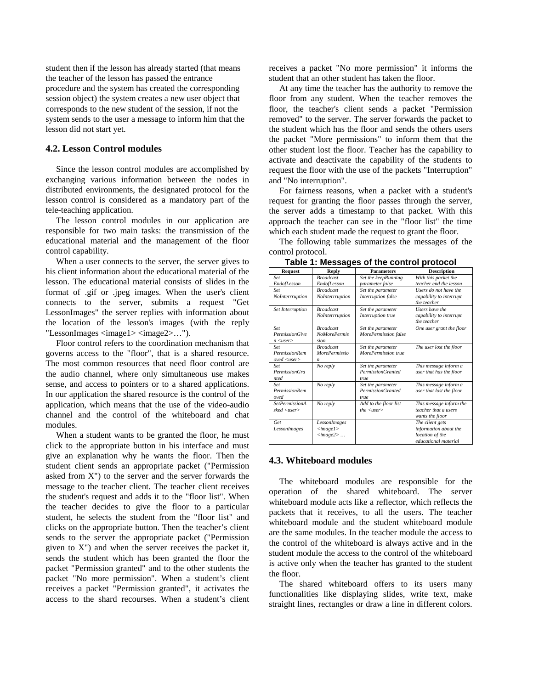student then if the lesson has already started (that means the teacher of the lesson has passed the entrance procedure and the system has created the corresponding session object) the system creates a new user object that corresponds to the new student of the session, if not the system sends to the user a message to inform him that the lesson did not start yet.

## **4.2. Lesson Control modules**

Since the lesson control modules are accomplished by exchanging various information between the nodes in distributed environments, the designated protocol for the lesson control is considered as a mandatory part of the tele-teaching application.

The lesson control modules in our application are responsible for two main tasks: the transmission of the educational material and the management of the floor control capability.

When a user connects to the server, the server gives to his client information about the educational material of the lesson. The educational material consists of slides in the format of .gif or .jpeg images. When the user's client connects to the server, submits a request "Get LessonImages" the server replies with information about the location of the lesson's images (with the reply "LessonImages <image1> <image2>…").

Floor control refers to the coordination mechanism that governs access to the "floor", that is a shared resource. The most common resources that need floor control are the audio channel, where only simultaneous use makes sense, and access to pointers or to a shared applications. In our application the shared resource is the control of the application, which means that the use of the video-audio channel and the control of the whiteboard and chat modules.

When a student wants to be granted the floor, he must click to the appropriate button in his interface and must give an explanation why he wants the floor. Then the student client sends an appropriate packet ("Permission asked from X") to the server and the server forwards the message to the teacher client. The teacher client receives the student's request and adds it to the "floor list". When the teacher decides to give the floor to a particular student, he selects the student from the "floor list" and clicks on the appropriate button. Then the teacher's client sends to the server the appropriate packet ("Permission given to  $X''$ ) and when the server receives the packet it, sends the student which has been granted the floor the packet "Permission granted" and to the other students the packet "No more permission". When a student's client receives a packet "Permission granted", it activates the access to the shard recourses. When a student's client receives a packet "No more permission" it informs the student that an other student has taken the floor.

At any time the teacher has the authority to remove the floor from any student. When the teacher removes the floor, the teacher's client sends a packet "Permission removed" to the server. The server forwards the packet to the student which has the floor and sends the others users the packet "More permissions" to inform them that the other student lost the floor. Teacher has the capability to activate and deactivate the capability of the students to request the floor with the use of the packets "Interruption" and "No interruption".

For fairness reasons, when a packet with a student's request for granting the floor passes through the server, the server adds a timestamp to that packet. With this approach the teacher can see in the "floor list" the time which each student made the request to grant the floor.

The following table summarizes the messages of the control protocol.

| Request                                             | <b>Reply</b>                                                         | <b>Parameters</b>                                     | <b>Description</b>                                                                  |
|-----------------------------------------------------|----------------------------------------------------------------------|-------------------------------------------------------|-------------------------------------------------------------------------------------|
| Set<br>EndofLesson                                  | <b>Broadcast</b><br>EndofLesson                                      | Set the keepRunning<br>parameter false                | With this packet the<br>teacher end the lesson                                      |
| Set<br>NoInterrruption                              | <b>Broadcast</b><br>NoInterrruption                                  | Set the parameter<br>Interruption false               | Users do not have the<br>capability to interrupt<br>the teacher                     |
| Set Interruption                                    | <b>Broadcast</b><br>NoInterrruption                                  | Set the parameter<br>Interruption true                | Users have the<br>capability to interrupt<br>the teacher                            |
| Set<br><b>PermissionGive</b><br>$n <$ user $>$      | <b>Broadcast</b><br><b>NoMorePermis</b><br>sion                      | Set the parameter<br>MorePermission false             | One user grant the floor                                                            |
| Set<br><b>PermissionRem</b><br>oved <sub>user</sub> | <b>Broadcast</b><br><b>MorePermissio</b><br>$\boldsymbol{n}$         | Set the parameter<br>MorePermission true              | The user lost the floor                                                             |
| Set<br><b>PermissionGra</b><br>nted                 | No reply                                                             | Set the parameter<br><b>PermissionGranted</b><br>true | This message inform a<br>user that has the floor                                    |
| Set<br><b>PermissionRem</b><br>oved                 | No reply                                                             | Set the parameter<br><b>PermissionGranted</b><br>true | This message inform a<br>user that lost the floor                                   |
| <b>SetPermissionA</b><br>sked < user>               | No reply                                                             | Add to the floor list<br>the $\langle$ user $\rangle$ | This message inform the<br>teacher that a users<br>wants the floor                  |
| Get<br>LessonImages                                 | LessonImages<br>$\langle image1 \rangle$<br>$\langle image2 \rangle$ |                                                       | The client gets<br>information about the<br>location of the<br>educational material |

**Table 1: Messages of the control protocol**

#### **4.3. Whiteboard modules**

The whiteboard modules are responsible for the operation of the shared whiteboard. The server whiteboard module acts like a reflector, which reflects the packets that it receives, to all the users. The teacher whiteboard module and the student whiteboard module are the same modules. In the teacher module the access to the control of the whiteboard is always active and in the student module the access to the control of the whiteboard is active only when the teacher has granted to the student the floor.

The shared whiteboard offers to its users many functionalities like displaying slides, write text, make straight lines, rectangles or draw a line in different colors.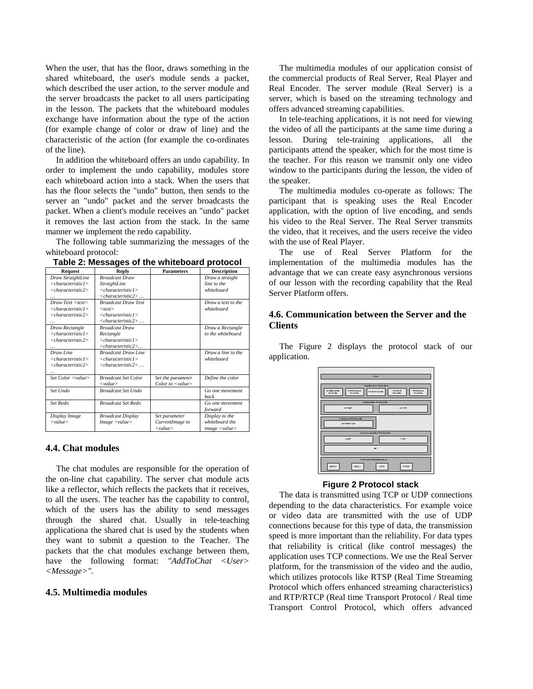When the user, that has the floor, draws something in the shared whiteboard, the user's module sends a packet, which described the user action, to the server module and the server broadcasts the packet to all users participating in the lesson. The packets that the whiteboard modules exchange have information about the type of the action (for example change of color or draw of line) and the characteristic of the action (for example the co-ordinates of the line).

In addition the whiteboard offers an undo capability. In order to implement the undo capability, modules store each whiteboard action into a stack. When the users that has the floor selects the "undo" button, then sends to the server an "undo" packet and the server broadcasts the packet. When a client's module receives an "undo" packet it removes the last action from the stack. In the same manner we implement the redo capability.

The following table summarizing the messages of the whiteboard protocol:

| <b>Request</b>                                                                                                                         | <b>Reply</b>                                                                                                          | <b>Parameters</b>                                           | <b>Description</b>                                 |
|----------------------------------------------------------------------------------------------------------------------------------------|-----------------------------------------------------------------------------------------------------------------------|-------------------------------------------------------------|----------------------------------------------------|
| Draw StraightLine<br>$<$ <i>characteristic</i> $l$ ><br>$\langle characteristic2\rangle$                                               | <b>Broadcast Draw</b><br>StraightLine<br><characteristic1><br/><characteristic2> </characteristic2></characteristic1> |                                                             | Draw a straight<br>line to the<br>whiteboard       |
| Draw Text <text><br/><math>&lt;</math><i>characteristic</i> <math>l</math> &gt;<br/><math>&lt;</math><i>characteristic</i>2&gt;</text> | <b>Broadcast Draw Text</b><br>$<$ text $>$<br>$<$ <i>characteristic1</i> $>$<br>$<$ <i>characteristic</i> 2 $> $      |                                                             | Draw a text to the<br>whiteboard                   |
| Draw Rectangle<br>$<$ <i>characteristic</i> $l$ ><br>$<$ <i>characteristic</i> 2 $>$                                                   | <b>Broadcast Draw</b><br>Rectangle<br>$\langle characteristic1\rangle$<br><characteristic2></characteristic2>         |                                                             | Draw a Rectangle<br>to the whiteboard              |
| Draw Line<br>$\langle characteristic1\rangle$<br>$<$ <i>characteristic</i> 2 $>$                                                       | <b>Broadcast Draw Line</b><br>$\langle characteristic1\rangle$<br>$<$ <i>characteristic</i> 2 $>$                     |                                                             | Draw a line to the<br>whiteboard                   |
| Set Color <value></value>                                                                                                              | <b>Broadcast Set Color</b><br>$\langle value \rangle$                                                                 | Set the parameter<br>Color to $\langle$ value $\rangle$     | Define the color                                   |
| Set Undo                                                                                                                               | <b>Broadcast Set Undo</b>                                                                                             |                                                             | Go one movement<br><b>back</b>                     |
| Set Redo                                                                                                                               | <b>Broadcast Set Redo</b>                                                                                             |                                                             | Go one movement<br>forward                         |
| Display Image<br>$\langle value \rangle$                                                                                               | <b>Broadcast Display</b><br>Image <value></value>                                                                     | Set parameter<br>CurrentImage to<br>$\langle value \rangle$ | Display to the<br>whiteboard the<br>image < value> |

**Table 2: Messages of the whiteboard protocol**

#### **4.4. Chat modules**

The chat modules are responsible for the operation of the on-line chat capability. The server chat module acts like a reflector, which reflects the packets that it receives, to all the users. The teacher has the capability to control, which of the users has the ability to send messages through the shared chat. Usually in tele-teaching applicationa the shared chat is used by the students when they want to submit a question to the Teacher. The packets that the chat modules exchange between them, have the following format: *"AddToChat <User> <Message>".*

#### **4.5. Multimedia modules**

The multimedia modules of our application consist of the commercial products of Real Server, Real Player and Real Encoder. The server module (Real Server) is a server, which is based on the streaming technology and offers advanced streaming capabilities.

In tele-teaching applications, it is not need for viewing the video of all the participants at the same time during a lesson. During tele-training applications, all the participants attend the speaker, which for the most time is the teacher. For this reason we transmit only one video window to the participants during the lesson, the video of the speaker.

The multimedia modules co-operate as follows: The participant that is speaking uses the Real Encoder application, with the option of live encoding, and sends his video to the Real Server. The Real Server transmits the video, that it receives, and the users receive the video with the use of Real Player.

The use of Real Server Platform for the implementation of the multimedia modules has the advantage that we can create easy asynchronous versions of our lesson with the recording capability that the Real Server Platform offers.

## **4.6. Communication between the Server and the Clients**

The Figure 2 displays the protocol stack of our application.



### **Figure 2 Protocol stack**

The data is transmitted using TCP or UDP connections depending to the data characteristics. For example voice or video data are transmitted with the use of UDP connections because for this type of data, the transmission speed is more important than the reliability. For data types that reliability is critical (like control messages) the application uses TCP connections. We use the Real Server platform, for the transmission of the video and the audio, which utilizes protocols like RTSP (Real Time Streaming Protocol which offers enhanced streaming characteristics) and RTP/RTCP (Real time Transport Protocol / Real time Transport Control Protocol, which offers advanced